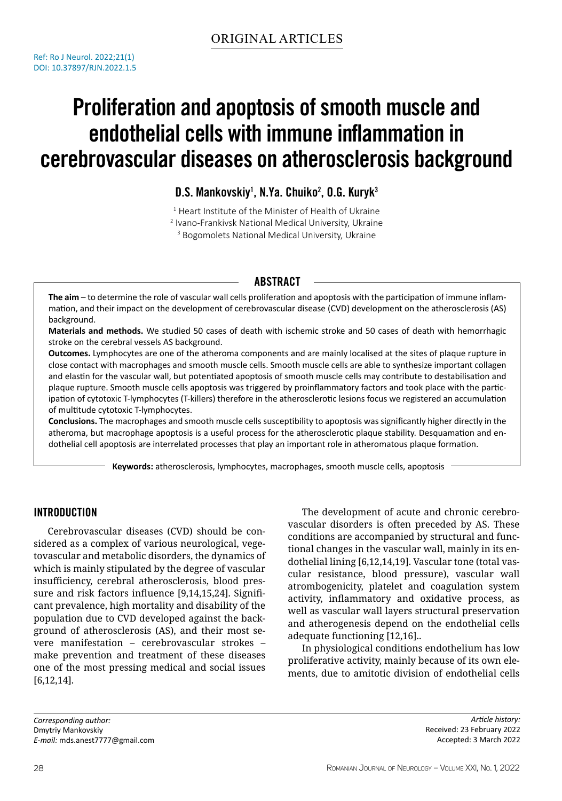# Proliferation and apoptosis of smooth muscle and endothelial cells with immune inflammation in cerebrovascular diseases on atherosclerosis background

D.S. Mankovskiy<sup>1</sup>, N.Ya. Chuiko<sup>2</sup>, O.G. Kuryk<sup>3</sup>

<sup>1</sup> Heart Institute of the Minister of Health of Ukraine 2 Ivano-Frankivsk National Medical University, Ukraine

<sup>3</sup> Bogomolets National Medical University, Ukraine

## **ABSTRACT**

**The aim** – to determine the role of vascular wall cells proliferation and apoptosis with the participation of immune inflammation, and their impact on the development of cerebrovascular disease (CVD) development on the atherosclerosis (AS) background.

**Materials and methods.** We studied 50 cases of death with ischemic stroke and 50 cases of death with hemorrhagic stroke on the cerebral vessels AS background.

**Outcomes.** Lymphocytes are one of the atheroma components and are mainly localised at the sites of plaque rupture in close contact with macrophages and smooth muscle cells. Smooth muscle cells are able to synthesize important collagen and elastin for the vascular wall, but potentiated apoptosis of smooth muscle cells may contribute to destabilisation and plaque rupture. Smooth muscle cells apoptosis was triggered by proinflammatory factors and took place with the participation of cytotoxic T-lymphocytes (T-killers) therefore in the atherosclerotic lesions focus we registered an accumulation of multitude cytotoxic T-lymphocytes.

**Conclusions.** The macrophages and smooth muscle cells susceptibility to apoptosis was significantly higher directly in the atheroma, but macrophage apoptosis is a useful process for the atherosclerotic plaque stability. Desquamation and endothelial cell apoptosis are interrelated processes that play an important role in atheromatous plaque formation.

**Keywords:** atherosclerosis, lymphocytes, macrophages, smooth muscle cells, apoptosis

## Introduction

Cerebrovascular diseases (CVD) should be considered as a complex of various neurological, vegetovascular and metabolic disorders, the dynamics of which is mainly stipulated by the degree of vascular insufficiency, cerebral atherosclerosis, blood pressure and risk factors influence [9,14,15,24]. Significant prevalence, high mortality and disability of the population due to CVD developed against the background of atherosclerosis (AS), and their most severe manifestation – cerebrovascular strokes – make prevention and treatment of these diseases one of the most pressing medical and social issues [6,12,14].

The development of acute and chronic cerebrovascular disorders is often preceded by AS. These conditions are accompanied by structural and functional changes in the vascular wall, mainly in its endothelial lining [6,12,14,19]. Vascular tone (total vascular resistance, blood pressure), vascular wall atrombogenicity, platelet and coagulation system activity, inflammatory and oxidative process, as well as vascular wall layers structural preservation and atherogenesis depend on the endothelial cells adequate functioning [12,16]..

In physiological conditions endothelium has low proliferative activity, mainly because of its own elements, due to amitotic division of endothelial cells

*Corresponding author:* Dmytriy Mankovskiy *E-mail:* mds.anest7777@gmail.com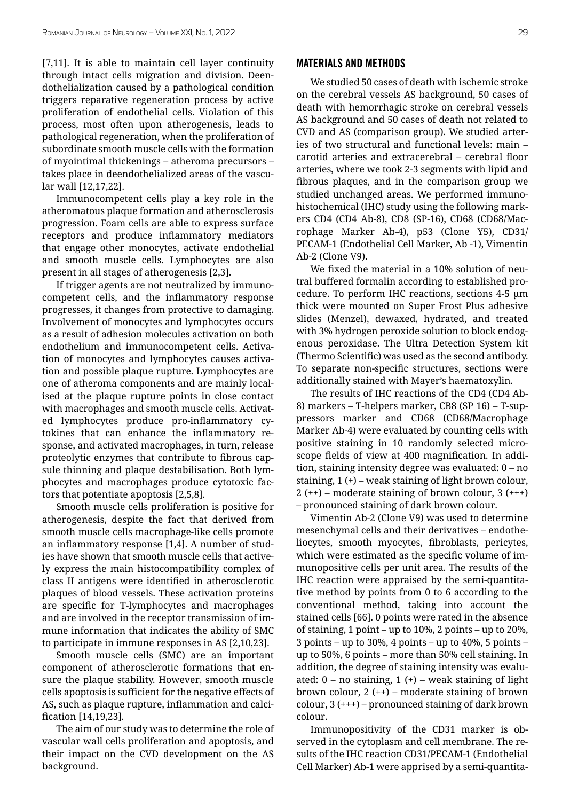[7,11]. It is able to maintain cell layer continuity through intact cells migration and division. Deendothelialization caused by a pathological condition triggers reparative regeneration process by active proliferation of endothelial cells. Violation of this process, most often upon atherogenesis, leads to pathological regeneration, when the proliferation of subordinate smooth muscle cells with the formation of myointimal thickenings – atheroma precursors – takes place in deendothelialized areas of the vascular wall [12,17,22].

Immunocompetent cells play a key role in the atheromatous plaque formation and atherosclerosis progression. Foam cells are able to express surface receptors and produce inflammatory mediators that engage other monocytes, activate endothelial and smooth muscle cells. Lymphocytes are also present in all stages of atherogenesis [2,3].

If trigger agents are not neutralized by immunocompetent cells, and the inflammatory response progresses, it changes from protective to damaging. Involvement of monocytes and lymphocytes occurs as a result of adhesion molecules activation on both endothelium and immunocompetent cells. Activation of monocytes and lymphocytes causes activation and possible plaque rupture. Lymphocytes are one of atheroma components and are mainly localised at the plaque rupture points in close contact with macrophages and smooth muscle cells. Activated lymphocytes produce pro-inflammatory cytokines that can enhance the inflammatory response, and activated macrophages, in turn, release proteolytic enzymes that contribute to fibrous capsule thinning and plaque destabilisation. Both lymphocytes and macrophages produce cytotoxic factors that potentiate apoptosis [2,5,8].

Smooth muscle cells proliferation is positive for atherogenesis, despite the fact that derived from smooth muscle cells macrophage-like cells promote an inflammatory response [1,4]. A number of studies have shown that smooth muscle cells that actively express the main histocompatibility complex of class II antigens were identified in atherosclerotic plaques of blood vessels. These activation proteins are specific for T-lymphocytes and macrophages and are involved in the receptor transmission of immune information that indicates the ability of SMC to participate in immune responses in AS [2,10,23].

Smooth muscle cells (SMC) are an important component of atherosclerotic formations that ensure the plaque stability. However, smooth muscle cells apoptosis is sufficient for the negative effects of AS, such as plaque rupture, inflammation and calcification [14,19,23].

The aim of our study was to determine the role of vascular wall cells proliferation and apoptosis, and their impact on the CVD development on the AS background.

#### Materials and methods

We studied 50 cases of death with ischemic stroke on the cerebral vessels AS background, 50 cases of death with hemorrhagic stroke on cerebral vessels AS background and 50 cases of death not related to CVD and AS (comparison group). We studied arteries of two structural and functional levels: main – carotid arteries and extracerebral – cerebral floor arteries, where we took 2-3 segments with lipid and fibrous plaques, and in the comparison group we studied unchanged areas. We performed immunohistochemical (IHC) study using the following markers CD4 (CD4 Ab-8), CD8 (SP-16), CD68 (CD68/Macrophage Marker Ab-4), p53 (Clone Y5), CD31/ PECAM-1 (Endothelial Cell Marker, Ab -1), Vimentin Ab-2 (Clone V9).

We fixed the material in a 10% solution of neutral buffered formalin according to established procedure. To perform IHC reactions, sections 4-5 μm thick were mounted on Super Frost Plus adhesive slides (Menzel), dewaxed, hydrated, and treated with 3% hydrogen peroxide solution to block endogenous peroxidase. The Ultra Detection System kit (Thermo Scientific) was used as the second antibody. To separate non-specific structures, sections were additionally stained with Mayer's haematoxylin.

The results of IHC reactions of the CD4 (CD4 Ab-8) markers – T-helpers marker, CB8 (SP 16) – T-suppressors marker and CD68 (CD68/Macrophage Marker Ab-4) were evaluated by counting cells with positive staining in 10 randomly selected microscope fields of view at 400 magnification. In addition, staining intensity degree was evaluated: 0 – no staining, 1 (+) – weak staining of light brown colour, 2 (++) – moderate staining of brown colour, 3 (+++) – pronounced staining of dark brown colour.

Vimentin Ab-2 (Clone V9) was used to determine mesenchymal cells and their derivatives – endotheliocytes, smooth myocytes, fibroblasts, pericytes, which were estimated as the specific volume of immunopositive cells per unit area. The results of the IHC reaction were appraised by the semi-quantitative method by points from 0 to 6 according to the conventional method, taking into account the stained cells [66]. 0 points were rated in the absence of staining, 1 point – up to 10%, 2 points – up to 20%, 3 points – up to 30%, 4 points – up to 40%, 5 points – up to 50%, 6 points – more than 50% cell staining. In addition, the degree of staining intensity was evaluated:  $0 - no$  staining,  $1 (+) - weak$  staining of light brown colour, 2 (++) – moderate staining of brown colour, 3 (+++) – pronounced staining of dark brown colour.

Immunopositivity of the CD31 marker is observed in the cytoplasm and cell membrane. The results of the IHC reaction CD31/PECAM-1 (Endothelial Cell Marker) Ab-1 were apprised by a semi-quantita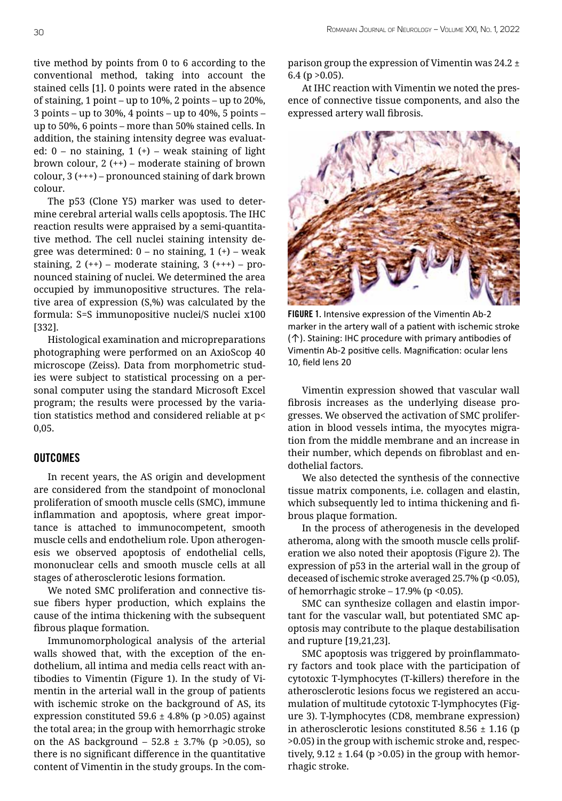tive method by points from 0 to 6 according to the conventional method, taking into account the stained cells [1]. 0 points were rated in the absence of staining, 1 point – up to 10%, 2 points – up to 20%, 3 points – up to 30%, 4 points – up to 40%, 5 points – up to 50%, 6 points – more than 50% stained cells. In addition, the staining intensity degree was evaluated:  $0 - no$  staining,  $1 (+) - weak$  staining of light brown colour,  $2 (++)$  – moderate staining of brown colour, 3 (+++) – pronounced staining of dark brown colour.

The p53 (Clone Y5) marker was used to determine cerebral arterial walls cells apoptosis. The IHC reaction results were appraised by a semi-quantitative method. The cell nuclei staining intensity degree was determined:  $0 - no$  staining,  $1 (+) - weak$ staining,  $2 (++)$  – moderate staining,  $3 (+++)$  – pronounced staining of nuclei. We determined the area occupied by immunopositive structures. The relative area of expression (S,%) was calculated by the formula: S=S immunopositive nuclei/S nuclei x100 [332].

Histological examination and micropreparations photographing were performed on an AxioScop 40 microscope (Zeiss). Data from morphometric studies were subject to statistical processing on a personal computer using the standard Microsoft Excel program; the results were processed by the variation statistics method and considered reliable at p< 0,05.

### **OUTCOMES**

In recent years, the AS origin and development are considered from the standpoint of monoclonal proliferation of smooth muscle cells (SMC), immune inflammation and apoptosis, where great importance is attached to immunocompetent, smooth muscle cells and endothelium role. Upon atherogenesis we observed apoptosis of endothelial cells, mononuclear cells and smooth muscle cells at all stages of atherosclerotic lesions formation.

We noted SMC proliferation and connective tissue fibers hyper production, which explains the cause of the intima thickening with the subsequent fibrous plaque formation.

Immunomorphological analysis of the arterial walls showed that, with the exception of the endothelium, all intima and media cells react with antibodies to Vimentin (Figure 1). In the study of Vimentin in the arterial wall in the group of patients with ischemic stroke on the background of AS, its expression constituted 59.6  $\pm$  4.8% (p > 0.05) against the total area; in the group with hemorrhagic stroke on the AS background – 52.8  $\pm$  3.7% (p > 0.05), so there is no significant difference in the quantitative content of Vimentin in the study groups. In the comparison group the expression of Vimentin was  $24.2 \pm$  $6.4$  (p  $>0.05$ ).

At IHC reaction with Vimentin we noted the presence of connective tissue components, and also the expressed artery wall fibrosis.



FIGURE 1. Intensive expression of the Vimentin Ab-2 marker in the artery wall of a patient with ischemic stroke (↑). Staining: IHC procedure with primary antibodies of Vimentin Ab-2 positive cells. Magnification: ocular lens 10, field lens 20

Vimentin expression showed that vascular wall fibrosis increases as the underlying disease progresses. We observed the activation of SMC proliferation in blood vessels intima, the myocytes migration from the middle membrane and an increase in their number, which depends on fibroblast and endothelial factors.

We also detected the synthesis of the connective tissue matrix components, i.e. collagen and elastin, which subsequently led to intima thickening and fibrous plaque formation.

In the process of atherogenesis in the developed atheroma, along with the smooth muscle cells proliferation we also noted their apoptosis (Figure 2). The expression of p53 in the arterial wall in the group of deceased of ischemic stroke averaged 25.7% (p <0.05), of hemorrhagic stroke  $-17.9\%$  (p < 0.05).

SMC can synthesize collagen and elastin important for the vascular wall, but potentiated SMC apoptosis may contribute to the plaque destabilisation and rupture [19,21,23].

SMC apoptosis was triggered by proinflammatory factors and took place with the participation of cytotoxic T-lymphocytes (T-killers) therefore in the atherosclerotic lesions focus we registered an accumulation of multitude cytotoxic T-lymphocytes (Figure 3). T-lymphocytes (CD8, membrane expression) in atherosclerotic lesions constituted 8.56  $\pm$  1.16 (p >0.05) in the group with ischemic stroke and, respectively,  $9.12 \pm 1.64$  (p > 0.05) in the group with hemorrhagic stroke.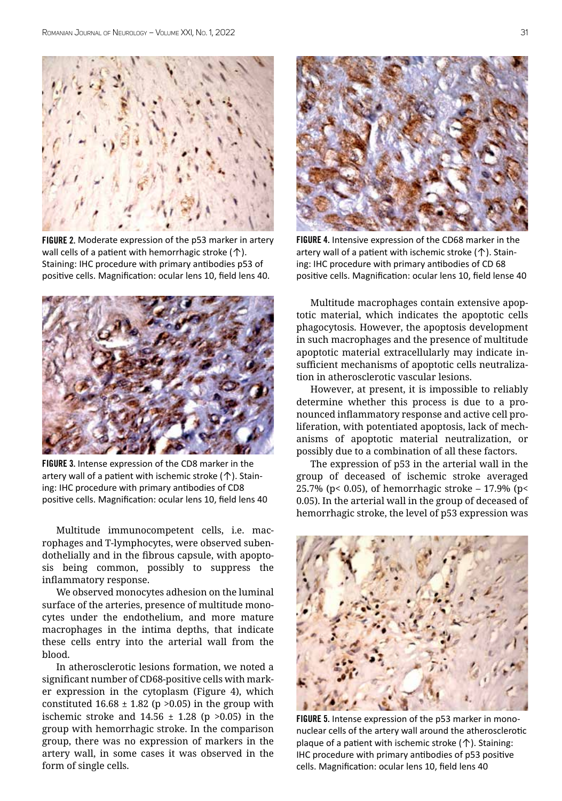

FIGURE 2. Moderate expression of the p53 marker in artery wall cells of a patient with hemorrhagic stroke  $($ <sup> $\uparrow$ </sup>). Staining: IHC procedure with primary antibodies p53 of positive cells. Magnification: ocular lens 10, field lens 40.



FIGURE 3. Intense expression of the CD8 marker in the artery wall of a patient with ischemic stroke (↑). Staining: IHC procedure with primary antibodies of CD8 positive cells. Magnification: ocular lens 10, field lens 40

Multitude immunocompetent cells, i.e. macrophages and T-lymphocytes, were observed subendothelially and in the fibrous capsule, with apoptosis being common, possibly to suppress the inflammatory response.

We observed monocytes adhesion on the luminal surface of the arteries, presence of multitude monocytes under the endothelium, and more mature macrophages in the intima depths, that indicate these cells entry into the arterial wall from the blood.

In atherosclerotic lesions formation, we noted a significant number of CD68-positive cells with marker expression in the cytoplasm (Figure 4), which constituted  $16.68 \pm 1.82$  (p > 0.05) in the group with ischemic stroke and  $14.56 \pm 1.28$  (p >0.05) in the group with hemorrhagic stroke. In the comparison group, there was no expression of markers in the artery wall, in some cases it was observed in the form of single cells.



FIGURE 4. Intensive expression of the CD68 marker in the artery wall of a patient with ischemic stroke (↑). Staining: IHC procedure with primary antibodies of CD 68 positive cells. Magnification: ocular lens 10, field lense 40

Multitude macrophages contain extensive apoptotic material, which indicates the apoptotic cells phagocytosis. However, the apoptosis development in such macrophages and the presence of multitude apoptotic material extracellularly may indicate insufficient mechanisms of apoptotic cells neutralization in atherosclerotic vascular lesions.

However, at present, it is impossible to reliably determine whether this process is due to a pronounced inflammatory response and active cell proliferation, with potentiated apoptosis, lack of mechanisms of apoptotic material neutralization, or possibly due to a combination of all these factors.

The expression of p53 in the arterial wall in the group of deceased of ischemic stroke averaged 25.7% (p< 0.05), of hemorrhagic stroke  $-$  17.9% (p< 0.05). In the arterial wall in the group of deceased of hemorrhagic stroke, the level of p53 expression was



FIGURE 5. Intense expression of the p53 marker in mononuclear cells of the artery wall around the atherosclerotic plaque of a patient with ischemic stroke (↑). Staining: IHC procedure with primary antibodies of p53 positive cells. Magnification: ocular lens 10, field lens 40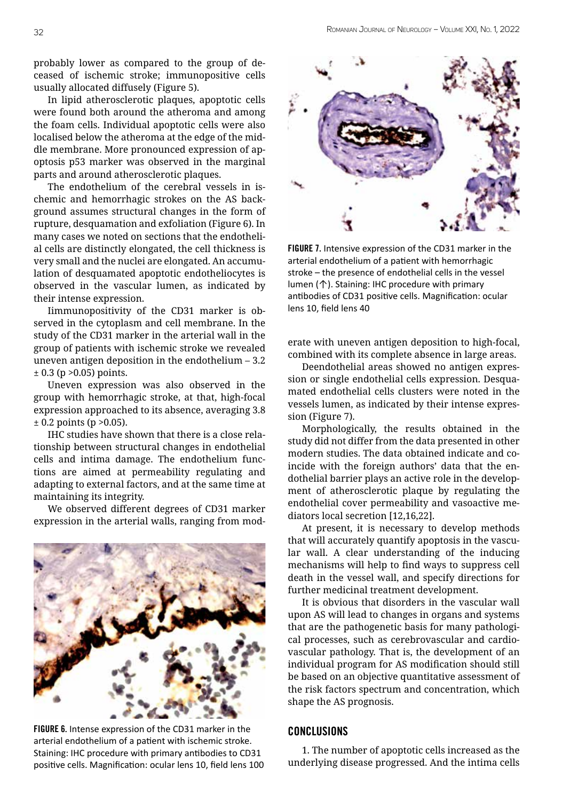probably lower as compared to the group of deceased of ischemic stroke; immunopositive cells usually allocated diffusely (Figure 5).

In lipid atherosclerotic plaques, apoptotic cells were found both around the atheroma and among the foam cells. Individual apoptotic cells were also localised below the atheroma at the edge of the middle membrane. More pronounced expression of apoptosis p53 marker was observed in the marginal parts and around atherosclerotic plaques.

The endothelium of the cerebral vessels in ischemic and hemorrhagic strokes on the AS background assumes structural changes in the form of rupture, desquamation and exfoliation (Figure 6). In many cases we noted on sections that the endothelial cells are distinctly elongated, the cell thickness is very small and the nuclei are elongated. An accumulation of desquamated apoptotic endotheliocytes is observed in the vascular lumen, as indicated by their intense expression.

Iimmunopositivity of the CD31 marker is observed in the cytoplasm and cell membrane. In the study of the CD31 marker in the arterial wall in the group of patients with ischemic stroke we revealed uneven antigen deposition in the endothelium – 3.2  $± 0.3$  (p > 0.05) points.

Uneven expression was also observed in the group with hemorrhagic stroke, at that, high-focal expression approached to its absence, averaging 3.8  $\pm$  0.2 points (p > 0.05).

IHC studies have shown that there is a close relationship between structural changes in endothelial cells and intima damage. The endothelium functions are aimed at permeability regulating and adapting to external factors, and at the same time at maintaining its integrity.

We observed different degrees of CD31 marker expression in the arterial walls, ranging from mod-



FIGURE 6. Intense expression of the CD31 marker in the arterial endothelium of a patient with ischemic stroke. Staining: IHC procedure with primary antibodies to CD31 positive cells. Magnification: ocular lens 10, field lens 100



FIGURE 7. Intensive expression of the CD31 marker in the arterial endothelium of a patient with hemorrhagic stroke – the presence of endothelial cells in the vessel lumen (↑). Staining: IHC procedure with primary antibodies of CD31 positive cells. Magnification: ocular lens 10, field lens 40

erate with uneven antigen deposition to high-focal, combined with its complete absence in large areas.

Deendothelial areas showed no antigen expression or single endothelial cells expression. Desquamated endothelial cells clusters were noted in the vessels lumen, as indicated by their intense expression (Figure 7).

Morphologically, the results obtained in the study did not differ from the data presented in other modern studies. The data obtained indicate and coincide with the foreign authors' data that the endothelial barrier plays an active role in the development of atherosclerotic plaque by regulating the endothelial cover permeability and vasoactive mediators local secretion [12,16,22].

At present, it is necessary to develop methods that will accurately quantify apoptosis in the vascular wall. A clear understanding of the inducing mechanisms will help to find ways to suppress cell death in the vessel wall, and specify directions for further medicinal treatment development.

It is obvious that disorders in the vascular wall upon AS will lead to changes in organs and systems that are the pathogenetic basis for many pathological processes, such as cerebrovascular and cardiovascular pathology. That is, the development of an individual program for AS modification should still be based on an objective quantitative assessment of the risk factors spectrum and concentration, which shape the AS prognosis.

#### Conclusions

1. The number of apoptotic cells increased as the underlying disease progressed. And the intima cells